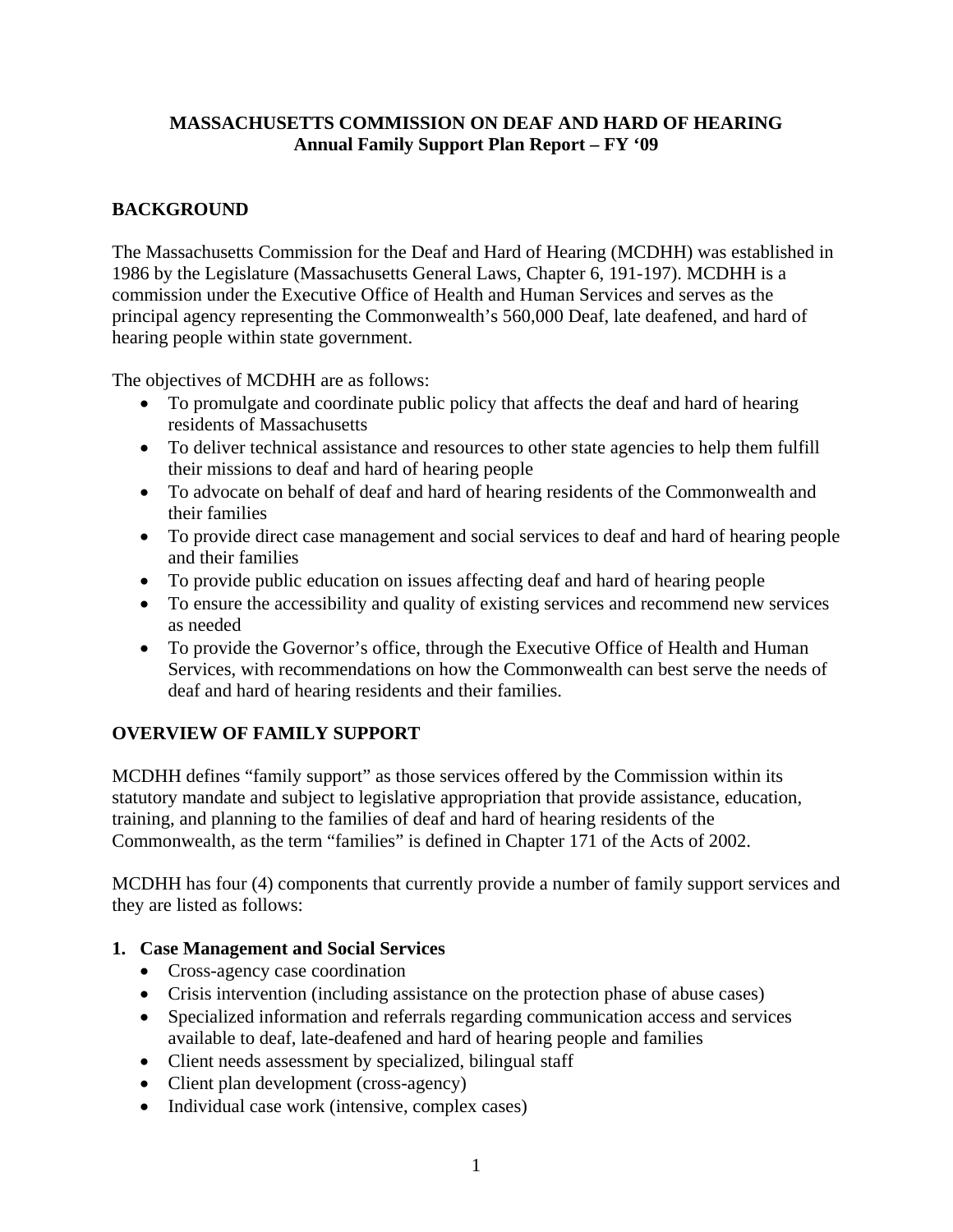### **MASSACHUSETTS COMMISSION ON DEAF AND HARD OF HEARING Annual Family Support Plan Report – FY '09**

## **BACKGROUND**

The Massachusetts Commission for the Deaf and Hard of Hearing (MCDHH) was established in 1986 by the Legislature (Massachusetts General Laws, Chapter 6, 191-197). MCDHH is a commission under the Executive Office of Health and Human Services and serves as the principal agency representing the Commonwealth's 560,000 Deaf, late deafened, and hard of hearing people within state government.

The objectives of MCDHH are as follows:

- To promulgate and coordinate public policy that affects the deaf and hard of hearing residents of Massachusetts
- To deliver technical assistance and resources to other state agencies to help them fulfill their missions to deaf and hard of hearing people
- To advocate on behalf of deaf and hard of hearing residents of the Commonwealth and their families
- To provide direct case management and social services to deaf and hard of hearing people and their families
- To provide public education on issues affecting deaf and hard of hearing people
- To ensure the accessibility and quality of existing services and recommend new services as needed
- To provide the Governor's office, through the Executive Office of Health and Human Services, with recommendations on how the Commonwealth can best serve the needs of deaf and hard of hearing residents and their families.

## **OVERVIEW OF FAMILY SUPPORT**

MCDHH defines "family support" as those services offered by the Commission within its statutory mandate and subject to legislative appropriation that provide assistance, education, training, and planning to the families of deaf and hard of hearing residents of the Commonwealth, as the term "families" is defined in Chapter 171 of the Acts of 2002.

MCDHH has four (4) components that currently provide a number of family support services and they are listed as follows:

## **1. Case Management and Social Services**

- Cross-agency case coordination
- Crisis intervention (including assistance on the protection phase of abuse cases)
- Specialized information and referrals regarding communication access and services available to deaf, late-deafened and hard of hearing people and families
- Client needs assessment by specialized, bilingual staff
- Client plan development (cross-agency)
- Individual case work (intensive, complex cases)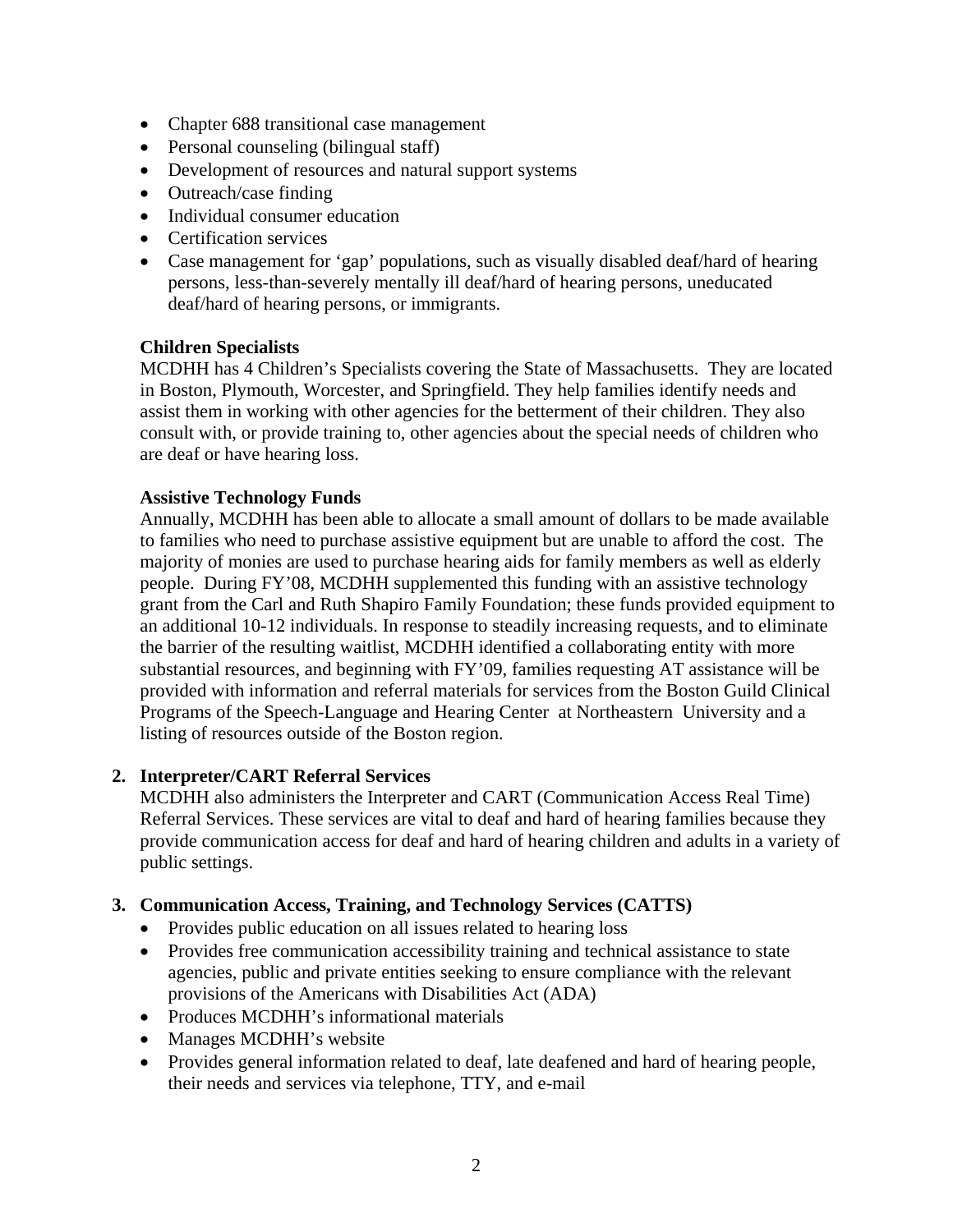- Chapter 688 transitional case management
- Personal counseling (bilingual staff)
- Development of resources and natural support systems
- Outreach/case finding
- Individual consumer education
- Certification services
- Case management for 'gap' populations, such as visually disabled deaf/hard of hearing persons, less-than-severely mentally ill deaf/hard of hearing persons, uneducated deaf/hard of hearing persons, or immigrants.

#### **Children Specialists**

MCDHH has 4 Children's Specialists covering the State of Massachusetts. They are located in Boston, Plymouth, Worcester, and Springfield. They help families identify needs and assist them in working with other agencies for the betterment of their children. They also consult with, or provide training to, other agencies about the special needs of children who are deaf or have hearing loss.

#### **Assistive Technology Funds**

Annually, MCDHH has been able to allocate a small amount of dollars to be made available to families who need to purchase assistive equipment but are unable to afford the cost. The majority of monies are used to purchase hearing aids for family members as well as elderly people. During FY'08, MCDHH supplemented this funding with an assistive technology grant from the Carl and Ruth Shapiro Family Foundation; these funds provided equipment to an additional 10-12 individuals. In response to steadily increasing requests, and to eliminate the barrier of the resulting waitlist, MCDHH identified a collaborating entity with more substantial resources, and beginning with FY'09, families requesting AT assistance will be provided with information and referral materials for services from the Boston Guild Clinical Programs of the Speech-Language and Hearing Center at Northeastern University and a listing of resources outside of the Boston region.

#### **2. Interpreter/CART Referral Services**

MCDHH also administers the Interpreter and CART (Communication Access Real Time) Referral Services. These services are vital to deaf and hard of hearing families because they provide communication access for deaf and hard of hearing children and adults in a variety of public settings.

#### **3. Communication Access, Training, and Technology Services (CATTS)**

- Provides public education on all issues related to hearing loss
- Provides free communication accessibility training and technical assistance to state agencies, public and private entities seeking to ensure compliance with the relevant provisions of the Americans with Disabilities Act (ADA)
- Produces MCDHH's informational materials
- Manages MCDHH's website
- Provides general information related to deaf, late deafened and hard of hearing people, their needs and services via telephone, TTY, and e-mail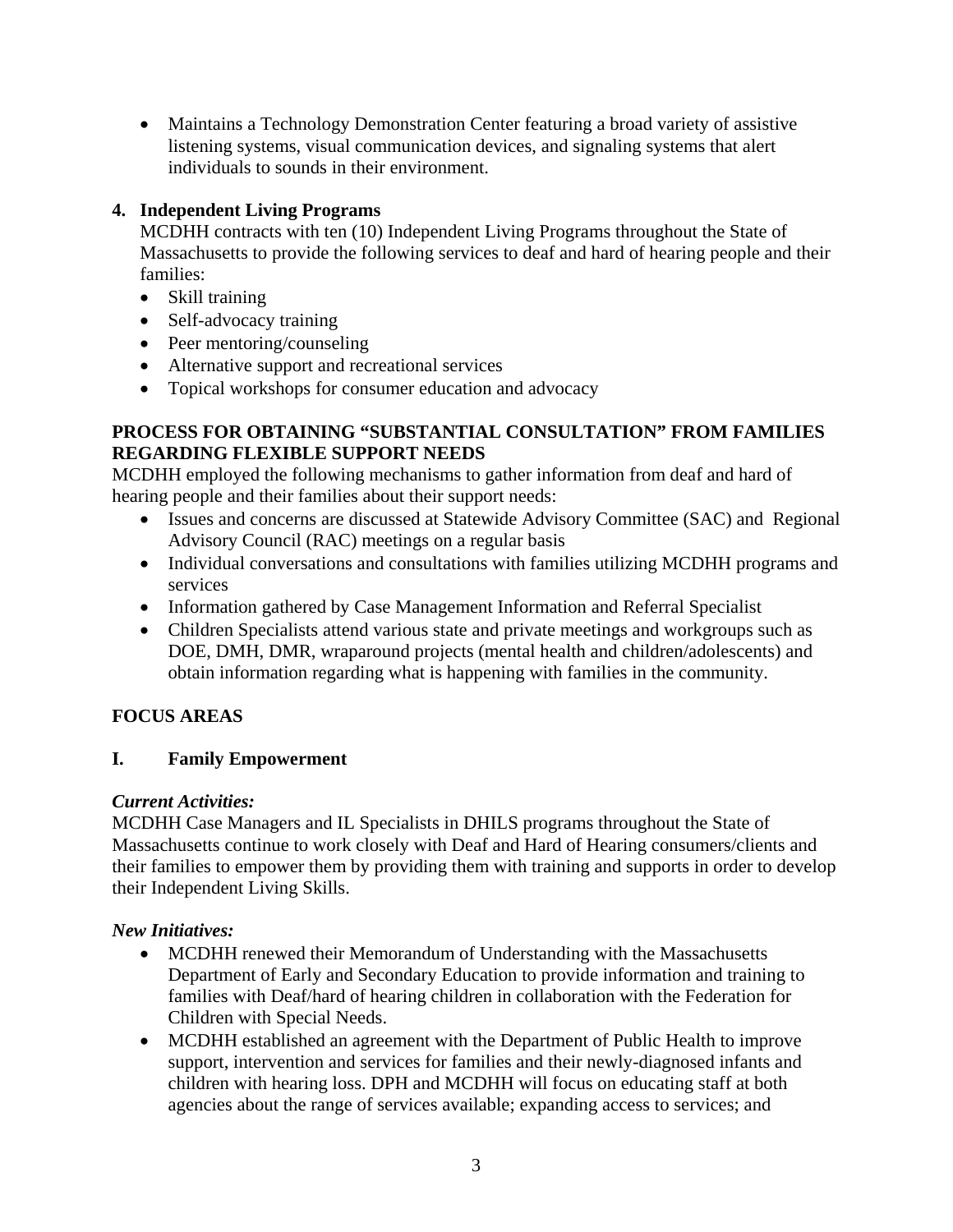• Maintains a Technology Demonstration Center featuring a broad variety of assistive listening systems, visual communication devices, and signaling systems that alert individuals to sounds in their environment.

# **4. Independent Living Programs**

MCDHH contracts with ten (10) Independent Living Programs throughout the State of Massachusetts to provide the following services to deaf and hard of hearing people and their families:

- Skill training
- Self-advocacy training
- Peer mentoring/counseling
- Alternative support and recreational services
- Topical workshops for consumer education and advocacy

### **PROCESS FOR OBTAINING "SUBSTANTIAL CONSULTATION" FROM FAMILIES REGARDING FLEXIBLE SUPPORT NEEDS**

MCDHH employed the following mechanisms to gather information from deaf and hard of hearing people and their families about their support needs:

- Issues and concerns are discussed at Statewide Advisory Committee (SAC) and Regional Advisory Council (RAC) meetings on a regular basis
- Individual conversations and consultations with families utilizing MCDHH programs and services
- Information gathered by Case Management Information and Referral Specialist
- Children Specialists attend various state and private meetings and workgroups such as DOE, DMH, DMR, wraparound projects (mental health and children/adolescents) and obtain information regarding what is happening with families in the community.

## **FOCUS AREAS**

## **I. Family Empowerment**

### *Current Activities:*

MCDHH Case Managers and IL Specialists in DHILS programs throughout the State of Massachusetts continue to work closely with Deaf and Hard of Hearing consumers/clients and their families to empower them by providing them with training and supports in order to develop their Independent Living Skills.

## *New Initiatives:*

- MCDHH renewed their Memorandum of Understanding with the Massachusetts Department of Early and Secondary Education to provide information and training to families with Deaf/hard of hearing children in collaboration with the Federation for Children with Special Needs.
- MCDHH established an agreement with the Department of Public Health to improve support, intervention and services for families and their newly-diagnosed infants and children with hearing loss. DPH and MCDHH will focus on educating staff at both agencies about the range of services available; expanding access to services; and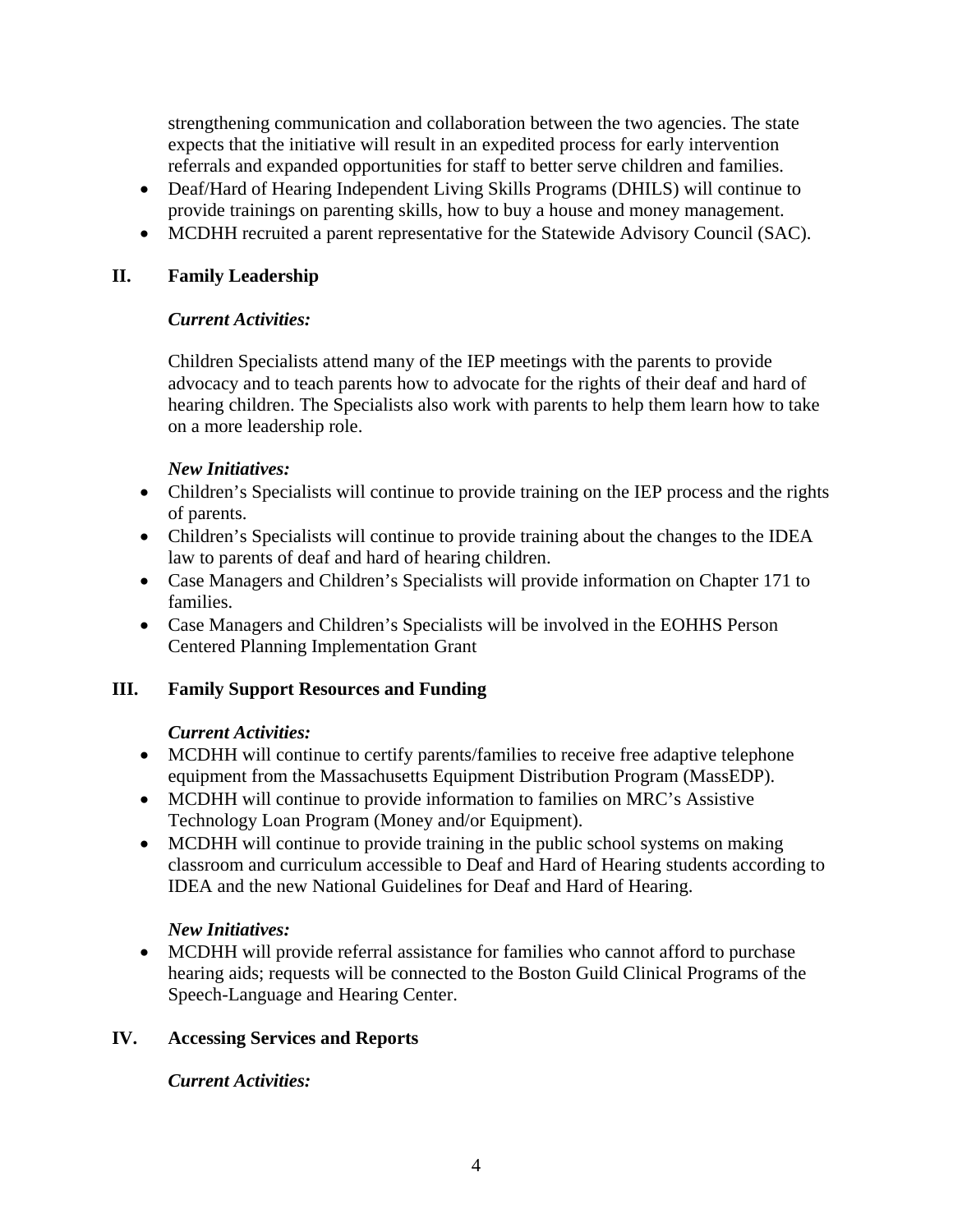strengthening communication and collaboration between the two agencies. The state expects that the initiative will result in an expedited process for early intervention referrals and expanded opportunities for staff to better serve children and families.

- Deaf/Hard of Hearing Independent Living Skills Programs (DHILS) will continue to provide trainings on parenting skills, how to buy a house and money management.
- MCDHH recruited a parent representative for the Statewide Advisory Council (SAC).

### **II. Family Leadership**

### *Current Activities:*

Children Specialists attend many of the IEP meetings with the parents to provide advocacy and to teach parents how to advocate for the rights of their deaf and hard of hearing children. The Specialists also work with parents to help them learn how to take on a more leadership role.

### *New Initiatives:*

- Children's Specialists will continue to provide training on the IEP process and the rights of parents.
- Children's Specialists will continue to provide training about the changes to the IDEA law to parents of deaf and hard of hearing children.
- Case Managers and Children's Specialists will provide information on Chapter 171 to families.
- Case Managers and Children's Specialists will be involved in the EOHHS Person Centered Planning Implementation Grant

## **III. Family Support Resources and Funding**

## *Current Activities:*

- MCDHH will continue to certify parents/families to receive free adaptive telephone equipment from the Massachusetts Equipment Distribution Program (MassEDP).
- MCDHH will continue to provide information to families on MRC's Assistive Technology Loan Program (Money and/or Equipment).
- MCDHH will continue to provide training in the public school systems on making classroom and curriculum accessible to Deaf and Hard of Hearing students according to IDEA and the new National Guidelines for Deaf and Hard of Hearing.

## *New Initiatives:*

• MCDHH will provide referral assistance for families who cannot afford to purchase hearing aids; requests will be connected to the Boston Guild Clinical Programs of the Speech-Language and Hearing Center.

## **IV. Accessing Services and Reports**

## *Current Activities:*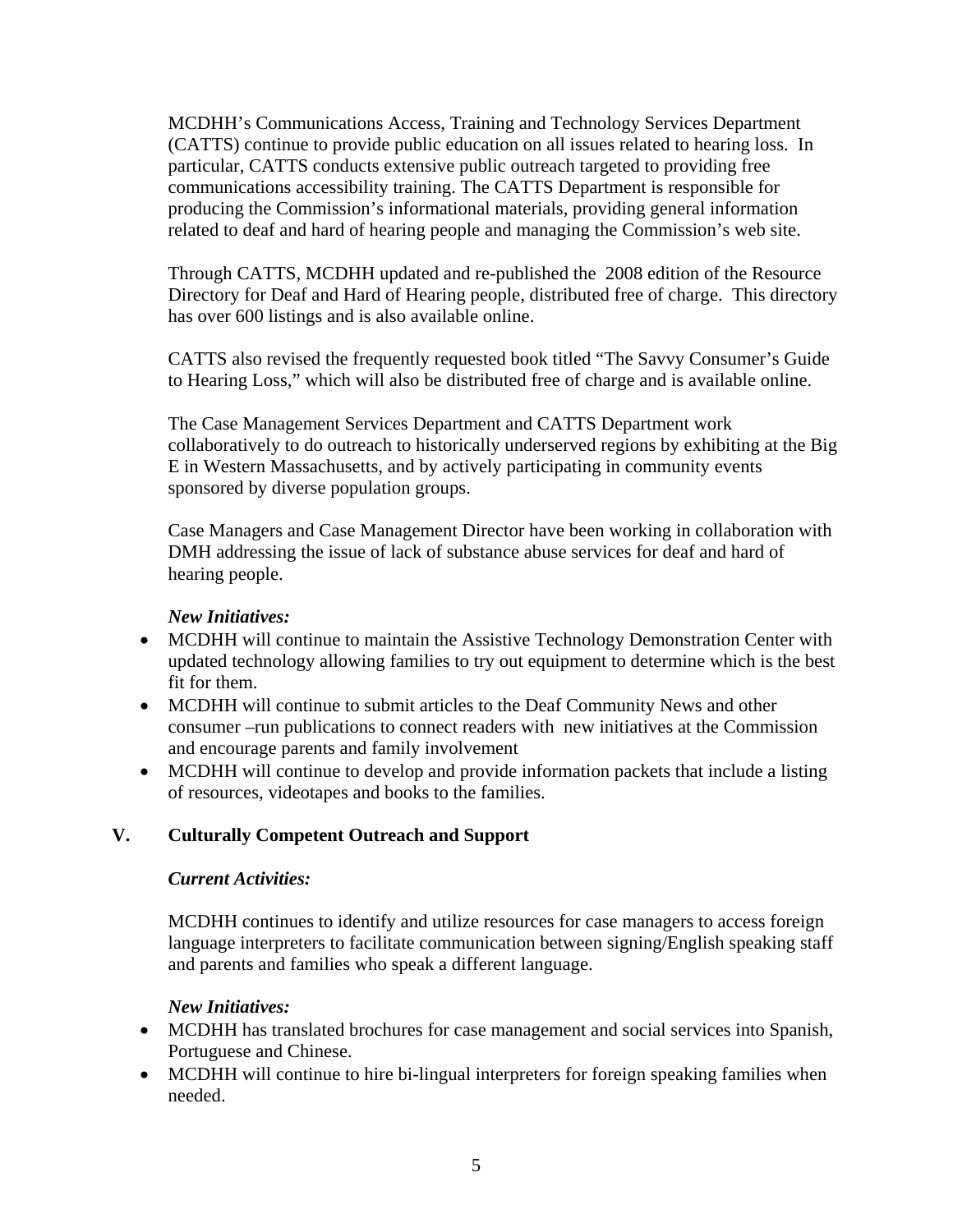MCDHH's Communications Access, Training and Technology Services Department (CATTS) continue to provide public education on all issues related to hearing loss. In particular, CATTS conducts extensive public outreach targeted to providing free communications accessibility training. The CATTS Department is responsible for producing the Commission's informational materials, providing general information related to deaf and hard of hearing people and managing the Commission's web site.

Through CATTS, MCDHH updated and re-published the 2008 edition of the Resource Directory for Deaf and Hard of Hearing people, distributed free of charge. This directory has over 600 listings and is also available online.

CATTS also revised the frequently requested book titled "The Savvy Consumer's Guide to Hearing Loss," which will also be distributed free of charge and is available online.

The Case Management Services Department and CATTS Department work collaboratively to do outreach to historically underserved regions by exhibiting at the Big E in Western Massachusetts, and by actively participating in community events sponsored by diverse population groups.

Case Managers and Case Management Director have been working in collaboration with DMH addressing the issue of lack of substance abuse services for deaf and hard of hearing people.

### *New Initiatives:*

- MCDHH will continue to maintain the Assistive Technology Demonstration Center with updated technology allowing families to try out equipment to determine which is the best fit for them.
- MCDHH will continue to submit articles to the Deaf Community News and other consumer –run publications to connect readers with new initiatives at the Commission and encourage parents and family involvement
- MCDHH will continue to develop and provide information packets that include a listing of resources, videotapes and books to the families.

### **V. Culturally Competent Outreach and Support**

#### *Current Activities:*

MCDHH continues to identify and utilize resources for case managers to access foreign language interpreters to facilitate communication between signing/English speaking staff and parents and families who speak a different language.

### *New Initiatives:*

- MCDHH has translated brochures for case management and social services into Spanish, Portuguese and Chinese.
- MCDHH will continue to hire bi-lingual interpreters for foreign speaking families when needed.